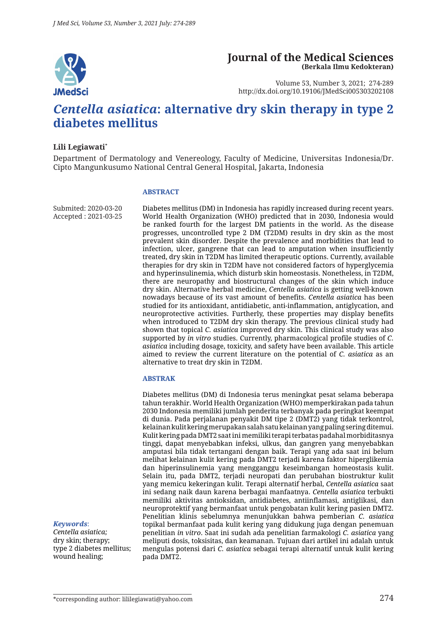

#### **Journal of the Medical Sciences (Berkala Ilmu Kedokteran)**

Volume 53, Number 3, 2021; 274-289 http://dx.doi.org/10.19106/JMedSci005303202108

# *Centella asiatica***: alternative dry skin therapy in type 2 diabetes mellitus**

#### **Lili Legiawati\***

Department of Dermatology and Venereology, Faculty of Medicine, Universitas Indonesia/Dr. Cipto Mangunkusumo National Central General Hospital, Jakarta, Indonesia

#### **ABSTRACT**

Submited: 2020-03-20 Accepted : 2021-03-25 Diabetes mellitus (DM) in Indonesia has rapidly increased during recent years. World Health Organization (WHO) predicted that in 2030, Indonesia would be ranked fourth for the largest DM patients in the world. As the disease progresses, uncontrolled type 2 DM (T2DM) results in dry skin as the most prevalent skin disorder. Despite the prevalence and morbidities that lead to infection, ulcer, gangrene that can lead to amputation when insufficiently treated, dry skin in T2DM has limited therapeutic options. Currently, available therapies for dry skin in T2DM have not considered factors of hyperglycemia and hyperinsulinemia, which disturb skin homeostasis. Nonetheless, in T2DM, there are neuropathy and biostructural changes of the skin which induce dry skin. Alternative herbal medicine, *Centella asiatica* is getting well-known nowadays because of its vast amount of benefits. *Centella asiatica* has been studied for its antioxidant, antidiabetic, anti-inflammation, antiglycation, and neuroprotective activities. Furtherly, these properties may display benefits when introduced to T2DM dry skin therapy. The previous clinical study had shown that topical *C. asiatica* improved dry skin. This clinical study was also supported by *in vitro* studies. Currently, pharmacological profile studies of *C. asiatica* including dosage, toxicity, and safety have been available. This article aimed to review the current literature on the potential of *C. asiatica* as an alternative to treat dry skin in T2DM.

#### **ABSTRAK**

Diabetes mellitus (DM) di Indonesia terus meningkat pesat selama beberapa tahun terakhir. World Health Organization (WHO) memperkirakan pada tahun 2030 Indonesia memiliki jumlah penderita terbanyak pada peringkat keempat di dunia. Pada perjalanan penyakit DM tipe 2 (DMT2) yang tidak terkontrol, kelainan kulit kering merupakan salah satu kelainan yang paling sering ditemui. Kulit kering pada DMT2 saat ini memiliki terapi terbatas padahal morbiditasnya tinggi, dapat menyebabkan infeksi, ulkus, dan gangren yang menyebabkan amputasi bila tidak tertangani dengan baik. Terapi yang ada saat ini belum melihat kelainan kulit kering pada DMT2 terjadi karena faktor hiperglikemia dan hiperinsulinemia yang mengganggu keseimbangan homeostasis kulit. Selain itu, pada DMT2, terjadi neuropati dan perubahan biostruktur kulit yang memicu kekeringan kulit. Terapi alternatif herbal, *Centella asiatica* saat ini sedang naik daun karena berbagai manfaatnya. *Centella asiatica* terbukti memiliki aktivitas antioksidan, antidiabetes, antiinflamasi, antiglikasi, dan neuroprotektif yang bermanfaat untuk pengobatan kulit kering pasien DMT2. Penelitian klinis sebelumnya menunjukkan bahwa pemberian *C. asiatica* topikal bermanfaat pada kulit kering yang didukung juga dengan penemuan penelitian *in vitro*. Saat ini sudah ada penelitian farmakologi *C. asiatica* yang meliputi dosis, toksisitas, dan keamanan. Tujuan dari artikel ini adalah untuk mengulas potensi dari *C. asiatica* sebagai terapi alternatif untuk kulit kering pada DMT2.

#### *Keywords*:

*Centella asiatica;* dry skin; therapy; type 2 diabetes mellitus; wound healing;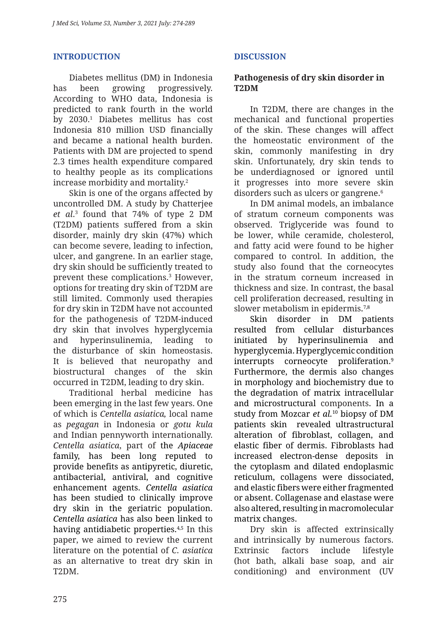## **INTRODUCTION**

Diabetes mellitus (DM) in Indonesia has been growing progressively. According to WHO data, Indonesia is predicted to rank fourth in the world by 2030.1 Diabetes mellitus has cost Indonesia 810 million USD financially and became a national health burden. Patients with DM are projected to spend 2.3 times health expenditure compared to healthy people as its complications increase morbidity and mortality.2

Skin is one of the organs affected by uncontrolled DM. A study by Chatterjee *et al*. 3 found that 74% of type 2 DM (T2DM) patients suffered from a skin disorder, mainly dry skin (47%) which can become severe, leading to infection, ulcer, and gangrene. In an earlier stage, dry skin should be sufficiently treated to prevent these complications.3 However, options for treating dry skin of T2DM are still limited. Commonly used therapies for dry skin in T2DM have not accounted for the pathogenesis of T2DM-induced dry skin that involves hyperglycemia and hyperinsulinemia, leading to the disturbance of skin homeostasis. It is believed that neuropathy and biostructural changes of the skin occurred in T2DM, leading to dry skin.

Traditional herbal medicine has been emerging in the last few years. One of which is *Centella asiatica,* local name as *pegagan* in Indonesia or *gotu kula* and Indian pennyworth internationally. *Centella asiatica*, part of the *Apiaceae*  family, has been long reputed to provide benefits as antipyretic, diuretic, antibacterial, antiviral, and cognitive enhancement agents. *Centella asiatica* has been studied to clinically improve dry skin in the geriatric population. *Centella asiatica* has also been linked to having antidiabetic properties.<sup>4,5</sup> In this paper, we aimed to review the current literature on the potential of *C. asiatica* as an alternative to treat dry skin in T2DM.

# **DISCUSSION**

## **Pathogenesis of dry skin disorder in T2DM**

In T2DM, there are changes in the mechanical and functional properties of the skin. These changes will affect the homeostatic environment of the skin, commonly manifesting in dry skin. Unfortunately, dry skin tends to be underdiagnosed or ignored until it progresses into more severe skin disorders such as ulcers or gangrene.<sup>6</sup>

In DM animal models, an imbalance of stratum corneum components was observed. Triglyceride was found to be lower, while ceramide, cholesterol, and fatty acid were found to be higher compared to control. In addition, the study also found that the corneocytes in the stratum corneum increased in thickness and size. In contrast, the basal cell proliferation decreased, resulting in slower metabolism in epidermis.<sup>7,8</sup>

Skin disorder in DM patients resulted from cellular disturbances initiated by hyperinsulinemia and hyperglycemia. Hyperglycemic condition interrupts corneocyte proliferation.<sup>9</sup> Furthermore, the dermis also changes in morphology and biochemistry due to the degradation of matrix intracellular and microstructural components. In a study from Mozcar *et al.*10 biopsy of DM patients skin revealed ultrastructural alteration of fibroblast, collagen, and elastic fiber of dermis. Fibroblasts had increased electron-dense deposits in the cytoplasm and dilated endoplasmic reticulum, collagens were dissociated, and elastic fibers were either fragmented or absent. Collagenase and elastase were also altered, resulting in macromolecular matrix changes.

Dry skin is affected extrinsically and intrinsically by numerous factors. Extrinsic factors include lifestyle (hot bath, alkali base soap, and air conditioning) and environment (UV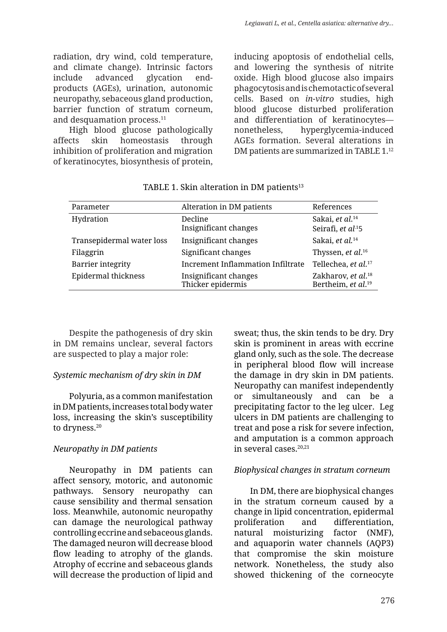radiation, dry wind, cold temperature, and climate change). Intrinsic factors include advanced glycation endproducts (AGEs), urination, autonomic neuropathy, sebaceous gland production, barrier function of stratum corneum, and desquamation process.<sup>11</sup>

High blood glucose pathologically affects skin homeostasis through inhibition of proliferation and migration of keratinocytes, biosynthesis of protein, inducing apoptosis of endothelial cells, and lowering the synthesis of nitrite oxide. High blood glucose also impairs phagocytosis and is chemotactic of several cells. Based on *in-vitro* studies, high blood glucose disturbed proliferation and differentiation of keratinocytes nonetheless, hyperglycemia-induced AGEs formation. Several alterations in DM patients are summarized in TABLE 1.<sup>12</sup>

| Parameter                 | Alteration in DM patients                  | References                                                       |
|---------------------------|--------------------------------------------|------------------------------------------------------------------|
| Hydration                 | Decline<br>Insignificant changes           | Sakai, et al. <sup>14</sup><br>Seirafi, et al.15                 |
| Transepidermal water loss | Insignificant changes                      | Sakai, et al. <sup>14</sup>                                      |
| Filaggrin                 | Significant changes                        | Thyssen, et al. <sup>16</sup>                                    |
| Barrier integrity         | <b>Increment Inflammation Infiltrate</b>   | Tellechea, et al. <sup>17</sup>                                  |
| Epidermal thickness       | Insignificant changes<br>Thicker epidermis | Zakharov, et al. <sup>18</sup><br>Bertheim, et al. <sup>19</sup> |

TABLE 1. Skin alteration in DM patients<sup>13</sup>

Despite the pathogenesis of dry skin in DM remains unclear, several factors are suspected to play a major role:

#### *Systemic mechanism of dry skin in DM*

Polyuria, as a common manifestation in DM patients, increases total body water loss, increasing the skin's susceptibility to dryness.<sup>20</sup>

# *Neuropathy in DM patients*

Neuropathy in DM patients can affect sensory, motoric, and autonomic pathways. Sensory neuropathy can cause sensibility and thermal sensation loss. Meanwhile, autonomic neuropathy can damage the neurological pathway controlling eccrine and sebaceous glands. The damaged neuron will decrease blood flow leading to atrophy of the glands. Atrophy of eccrine and sebaceous glands will decrease the production of lipid and sweat; thus, the skin tends to be dry. Dry skin is prominent in areas with eccrine gland only, such as the sole. The decrease in peripheral blood flow will increase the damage in dry skin in DM patients. Neuropathy can manifest independently or simultaneously and can be a precipitating factor to the leg ulcer. Leg ulcers in DM patients are challenging to treat and pose a risk for severe infection, and amputation is a common approach in several cases.20,21

# *Biophysical changes in stratum corneum*

In DM, there are biophysical changes in the stratum corneum caused by a change in lipid concentration, epidermal proliferation and differentiation, natural moisturizing factor (NMF), and aquaporin water channels (AQP3) that compromise the skin moisture network. Nonetheless, the study also showed thickening of the corneocyte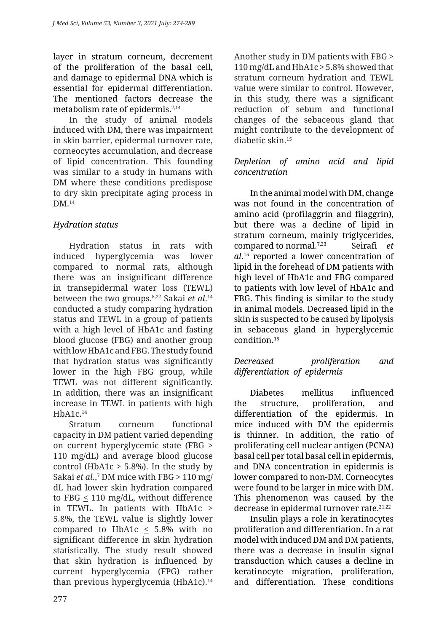layer in stratum corneum, decrement of the proliferation of the basal cell, and damage to epidermal DNA which is essential for epidermal differentiation. The mentioned factors decrease the metabolism rate of epidermis.7,14

In the study of animal models induced with DM, there was impairment in skin barrier, epidermal turnover rate, corneocytes accumulation, and decrease of lipid concentration. This founding was similar to a study in humans with DM where these conditions predispose to dry skin precipitate aging process in DM <sup>14</sup>

# *Hydration status*

Hydration status in rats with induced hyperglycemia was lower compared to normal rats, although there was an insignificant difference in transepidermal water loss (TEWL) between the two groups.8,22 Sakai *et al*. 14 conducted a study comparing hydration status and TEWL in a group of patients with a high level of HbA1c and fasting blood glucose (FBG) and another group with low HbA1c and FBG. The study found that hydration status was significantly lower in the high FBG group, while TEWL was not different significantly. In addition, there was an insignificant increase in TEWL in patients with high  $HhA1c.14$ 

Stratum corneum functional capacity in DM patient varied depending on current hyperglycemic state (FBG > 110 mg/dL) and average blood glucose control (HbA1c  $>$  5.8%). In the study by Sakai *et al*.,7 DM mice with FBG > 110 mg/ dL had lower skin hydration compared to FBG < 110 mg/dL, without difference in TEWL. In patients with HbA1c > 5.8%, the TEWL value is slightly lower compared to HbA1c  $\leq$  5.8% with no significant difference in skin hydration statistically. The study result showed that skin hydration is influenced by current hyperglycemia (FPG) rather than previous hyperglycemia (HbA1c).<sup>14</sup> Another study in DM patients with FBG > 110 mg/dL and HbA1c > 5.8% showed that stratum corneum hydration and TEWL value were similar to control. However, in this study, there was a significant reduction of sebum and functional changes of the sebaceous gland that might contribute to the development of diabetic skin.15

### *Depletion of amino acid and lipid concentration*

In the animal model with DM, change was not found in the concentration of amino acid (profilaggrin and filaggrin), but there was a decline of lipid in stratum corneum, mainly triglycerides, compared to normal.7,23 Seirafi *et al*. 15 reported a lower concentration of lipid in the forehead of DM patients with high level of HbA1c and FBG compared to patients with low level of HbA1c and FBG. This finding is similar to the study in animal models. Decreased lipid in the skin is suspected to be caused by lipolysis in sebaceous gland in hyperglycemic condition.15

## *Decreased proliferation and differentiation of epidermis*

Diabetes mellitus influenced the structure, proliferation, and differentiation of the epidermis. In mice induced with DM the epidermis is thinner. In addition, the ratio of proliferating cell nuclear antigen (PCNA) basal cell per total basal cell in epidermis, and DNA concentration in epidermis is lower compared to non-DM. Corneocytes were found to be larger in mice with DM. This phenomenon was caused by the decrease in epidermal turnover rate.<sup>21,22</sup>

Insulin plays a role in keratinocytes proliferation and differentiation. In a rat model with induced DM and DM patients, there was a decrease in insulin signal transduction which causes a decline in keratinocyte migration, proliferation, and differentiation. These conditions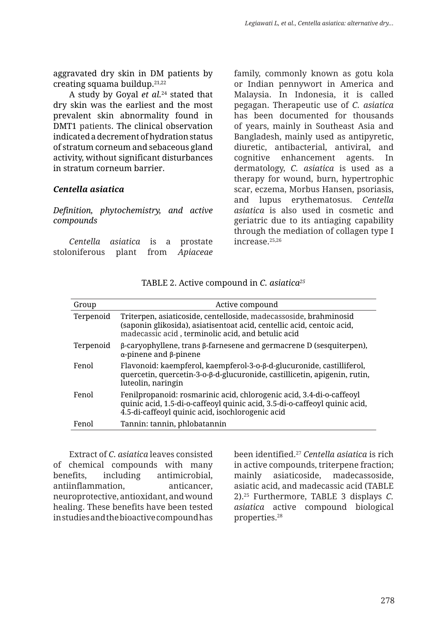aggravated dry skin in DM patients by creating squama buildup. $21,22$ 

A study by Goyal *et al.*24 stated that dry skin was the earliest and the most prevalent skin abnormality found in DMT1 patients. The clinical observation indicated a decrement of hydration status of stratum corneum and sebaceous gland activity, without significant disturbances in stratum corneum barrier.

#### *Centella asiatica*

*Definition, phytochemistry, and active compounds*

*Centella asiatica* is a prostate stoloniferous plant from *Apiaceae*  family, commonly known as gotu kola or Indian pennywort in America and Malaysia. In Indonesia, it is called pegagan. Therapeutic use of *C. asiatica*  has been documented for thousands of years, mainly in Southeast Asia and Bangladesh, mainly used as antipyretic, diuretic, antibacterial, antiviral, and cognitive enhancement agents. In dermatology, *C. asiatica* is used as a therapy for wound, burn, hypertrophic scar, eczema, Morbus Hansen, psoriasis, and lupus erythematosus. *Centella asiatica* is also used in cosmetic and geriatric due to its antiaging capability through the mediation of collagen type I increase.25,26

| Group     | Active compound                                                                                                                                                                                        |
|-----------|--------------------------------------------------------------------------------------------------------------------------------------------------------------------------------------------------------|
| Terpenoid | Triterpen, asiaticoside, centelloside, madecassoside, brahminosid<br>(saponin glikosida), asiatisentoat acid, centellic acid, centoic acid,<br>madecassic acid, terminolic acid, and betulic acid      |
| Terpenoid | $\beta$ -caryophyllene, trans $\beta$ -farnesene and germacrene D (sesquiterpen),<br>$\alpha$ -pinene and $\beta$ -pinene                                                                              |
| Fenol     | Flavonoid: kaempferol, kaempferol-3-ο-β-d-glucuronide, castilliferol,<br>quercetin, quercetin-3-ο-β-d-glucuronide, castillicetin, apigenin, rutin,<br>luteolin, naringin                               |
| Fenol     | Fenilpropanoid: rosmarinic acid, chlorogenic acid, 3.4-di-o-caffeoyl<br>quinic acid, 1.5-di-o-caffeoyl quinic acid, 3.5-di-o-caffeoyl quinic acid,<br>4.5-di-caffeoyl quinic acid, isochlorogenic acid |
| Fenol     | Tannin: tannin, phlobatannin                                                                                                                                                                           |

TABLE 2. Active compound in *C. asiatica<sup>25</sup>* 

Extract of *C. asiatica* leaves consisted of chemical compounds with many benefits, including antimicrobial, antiinflammation, anticancer, neuroprotective, antioxidant, and wound healing. These benefits have been tested in studies and the bioactive compound has been identified.27 *Centella asiatica* is rich in active compounds, triterpene fraction; mainly asiaticoside, madecassoside, asiatic acid, and madecassic acid (TABLE 2).25 Furthermore, TABLE 3 displays *C. asiatica* active compound biological properties.28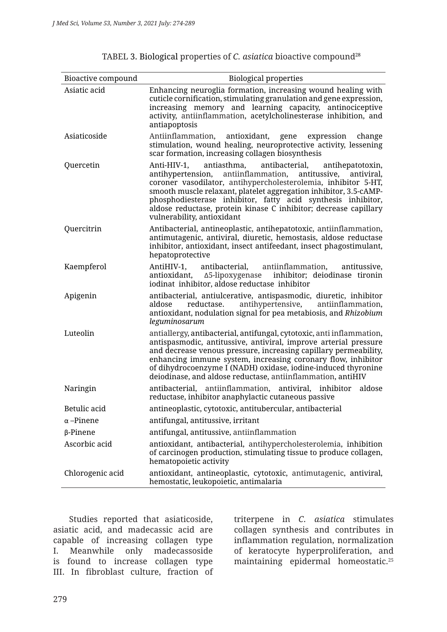| Bioactive compound | <b>Biological properties</b>                                                                                                                                                                                                                                                                                                                                                                                                             |
|--------------------|------------------------------------------------------------------------------------------------------------------------------------------------------------------------------------------------------------------------------------------------------------------------------------------------------------------------------------------------------------------------------------------------------------------------------------------|
| Asiatic acid       | Enhancing neuroglia formation, increasing wound healing with<br>cuticle cornification, stimulating granulation and gene expression,<br>increasing memory and learning capacity, antinociceptive<br>activity, antiinflammation, acetylcholinesterase inhibition, and<br>antiapoptosis                                                                                                                                                     |
| Asiaticoside       | Antiinflammation, antioxidant,<br>gene<br>expression<br>change<br>stimulation, wound healing, neuroprotective activity, lessening<br>scar formation, increasing collagen biosynthesis                                                                                                                                                                                                                                                    |
| Quercetin          | antiasthma,<br>Anti-HIV-1,<br>antibacterial,<br>antihepatotoxin,<br>antihypertension, antiinflammation, antitussive, antiviral,<br>coroner vasodilator, antihypercholesterolemia, inhibitor 5-HT,<br>smooth muscle relaxant, platelet aggregation inhibitor, 3.5-cAMP-<br>phosphodiesterase inhibitor, fatty acid synthesis inhibitor,<br>aldose reductase, protein kinase C inhibitor; decrease capillary<br>vulnerability, antioxidant |
| Quercitrin         | Antibacterial, antineoplastic, antihepatotoxic, antiinflammation,<br>antimutagenic, antiviral, diuretic, hemostasis, aldose reductase<br>inhibitor, antioxidant, insect antifeedant, insect phagostimulant,<br>hepatoprotective                                                                                                                                                                                                          |
| Kaempferol         | antibacterial, antiinflammation,<br>AntiHIV-1,<br>antitussive,<br>inhibitor; deiodinase tironin<br>antioxidant, ∆5-lipoxygenase<br>iodinat inhibitor, aldose reductase inhibitor                                                                                                                                                                                                                                                         |
| Apigenin           | antibacterial, antiulcerative, antispasmodic, diuretic, inhibitor<br>aldose<br>reductase.<br>antihypertensive, antiinflammation,<br>antioxidant, nodulation signal for pea metabiosis, and Rhizobium<br>leguminosarum                                                                                                                                                                                                                    |
| Luteolin           | antiallergy, antibacterial, antifungal, cytotoxic, anti inflammation,<br>antispasmodic, antitussive, antiviral, improve arterial pressure<br>and decrease venous pressure, increasing capillary permeability,<br>enhancing immune system, increasing coronary flow, inhibitor<br>of dihydrocoenzyme I (NADH) oxidase, iodine-induced thyronine<br>deiodinase, and aldose reductase, antiinflammation, antiHIV                            |
| Naringin           | antibacterial, antiinflammation, antiviral, inhibitor<br>aldose<br>reductase, inhibitor anaphylactic cutaneous passive                                                                                                                                                                                                                                                                                                                   |
| Betulic acid       | antineoplastic, cytotoxic, antitubercular, antibacterial                                                                                                                                                                                                                                                                                                                                                                                 |
| $\alpha$ –Pinene   | antifungal, antitussive, irritant                                                                                                                                                                                                                                                                                                                                                                                                        |
| $\beta$ -Pinene    | antifungal, antitussive, antiinflammation                                                                                                                                                                                                                                                                                                                                                                                                |
| Ascorbic acid      | antioxidant, antibacterial, antihypercholesterolemia, inhibition<br>of carcinogen production, stimulating tissue to produce collagen,<br>hematopoietic activity                                                                                                                                                                                                                                                                          |
| Chlorogenic acid   | antioxidant, antineoplastic, cytotoxic, antimutagenic, antiviral,<br>hemostatic, leukopoietic, antimalaria                                                                                                                                                                                                                                                                                                                               |

TABEL 3. Biological properties of *C. asiatica* bioactive compound<sup>28</sup>

Studies reported that asiaticoside, asiatic acid, and madecassic acid are capable of increasing collagen type I. Meanwhile only madecassoside is found to increase collagen type III. In fibroblast culture, fraction of

triterpene in *C. asiatica* stimulates collagen synthesis and contributes in inflammation regulation, normalization of keratocyte hyperproliferation, and maintaining epidermal homeostatic.25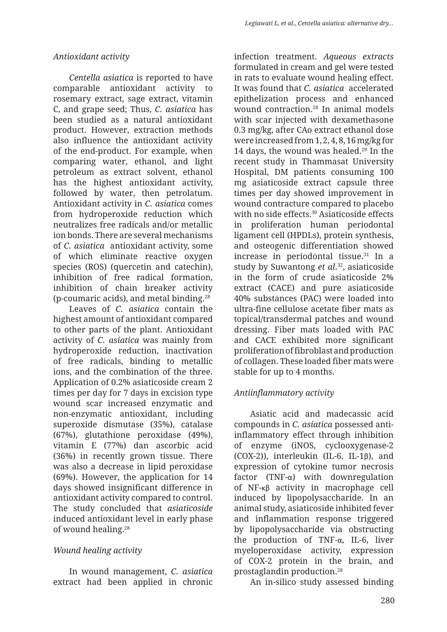# *Antioxidant activity*

*Centella asiatica* is reported to have comparable antioxidant activity to rosemary extract, sage extract, vitamin C, and grape seed; Thus, *C. asiatica* has been studied as a natural antioxidant product. However, extraction methods also influence the antioxidant activity of the end-product. For example, when comparing water, ethanol, and light petroleum as extract solvent, ethanol has the highest antioxidant activity, followed by water, then petrolatum. Antioxidant activity in *C. asiatica* comes from hydroperoxide reduction which neutralizes free radicals and/or metallic ion bonds. There are several mechanisms of *C. asiatica* antioxidant activity, some of which eliminate reactive oxygen species (ROS) (quercetin and catechin), inhibition of free radical formation, inhibition of chain breaker activity (p-coumaric acids), and metal binding.28

Leaves of *C. asiatica* contain the highest amount of antioxidant compared to other parts of the plant. Antioxidant activity of *C. asiatica* was mainly from hydroperoxide reduction, inactivation of free radicals, binding to metallic ions, and the combination of the three. Application of 0.2% asiaticoside cream 2 times per day for 7 days in excision type wound scar increased enzymatic and non-enzymatic antioxidant, including superoxide dismutase (35%), catalase (67%), glutathione peroxidase (49%), vitamin E (77%) dan ascorbic acid (36%) in recently grown tissue. There was also a decrease in lipid peroxidase (69%). However, the application for 14 days showed insignificant difference in antioxidant activity compared to control. The study concluded that *asiaticoside*  induced antioxidant level in early phase of wound healing.28

# *Wound healing activity*

In wound management, *C. asiatica* extract had been applied in chronic infection treatment. *Aqueous extracts*  formulated in cream and gel were tested in rats to evaluate wound healing effect. It was found that *C. asiatica* accelerated epithelization process and enhanced wound contraction.28 In animal models with scar injected with dexamethasone 0.3 mg/kg, after CAo extract ethanol dose were increased from 1, 2, 4, 8, 16 mg/kg for 14 days, the wound was healed.<sup>29</sup> In the recent study in Thammasat University Hospital, DM patients consuming 100 mg asiaticoside extract capsule three times per day showed improvement in wound contracture compared to placebo with no side effects.<sup>30</sup> Asiaticoside effects in proliferation human periodontal ligament cell (HPDLs), protein synthesis, and osteogenic differentiation showed increase in periodontal tissue.31 In a study by Suwantong *et al*. 32, asiaticoside in the form of crude asiaticoside 2% extract (CACE) and pure asiaticoside 40% substances (PAC) were loaded into ultra-fine cellulose acetate fiber mats as topical/transdermal patches and wound dressing. Fiber mats loaded with PAC and CACE exhibited more significant proliferation of fibroblast and production of collagen. These loaded fiber mats were stable for up to 4 months.

# *Antiinflammatory activity*

Asiatic acid and madecassic acid compounds in *C. asiatica* possessed antiinflammatory effect through inhibition of enzyme (iNOS, cyclooxygenase-2 (COX-2)), interleukin (IL-6, IL-1β), and expression of cytokine tumor necrosis factor (TNF-α) with downregulation of NF-κβ activity in macrophage cell induced by lipopolysaccharide. In an animal study, asiaticoside inhibited fever and inflammation response triggered by lipopolysaccharide via obstructing the production of TNF-α, IL-6, liver myeloperoxidase activity, expression of COX-2 protein in the brain, and prostaglandin production.28

An in-silico study assessed binding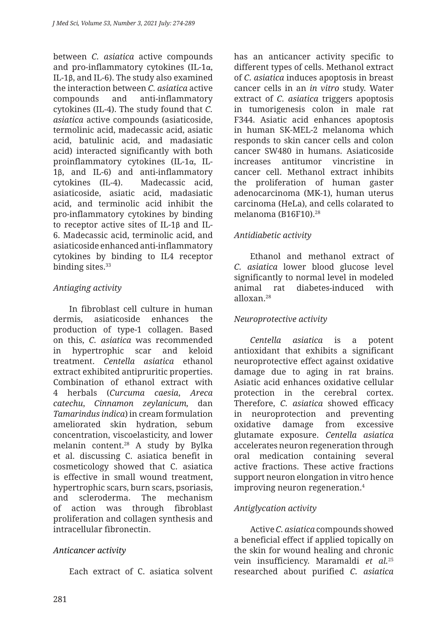between *C. asiatica* active compounds and pro-inflammatory cytokines (IL-1α, IL-1β, and IL-6). The study also examined the interaction between *C. asiatica* active compounds and anti-inflammatory cytokines (IL-4). The study found that *C. asiatica* active compounds (asiaticoside, termolinic acid, madecassic acid, asiatic acid, batulinic acid, and madasiatic acid) interacted significantly with both proinflammatory cytokines (IL-1α, IL-1β, and IL-6) and anti-inflammatory cytokines (IL-4). Madecassic acid, asiaticoside, asiatic acid, madasiatic acid, and terminolic acid inhibit the pro-inflammatory cytokines by binding to receptor active sites of IL-1β and IL-6. Madecassic acid, terminolic acid, and asiaticoside enhanced anti-inflammatory cytokines by binding to IL4 receptor binding sites.<sup>33</sup>

# *Antiaging activity*

In fibroblast cell culture in human dermis, asiaticoside enhances the production of type-1 collagen. Based on this, *C. asiatica* was recommended in hypertrophic scar and keloid treatment. *Centella asiatica* ethanol extract exhibited antipruritic properties. Combination of ethanol extract with 4 herbals (*Curcuma caesia*, *Areca catechu*, *Cinnamon zeylanicum,* dan *Tamarindus indica*) in cream formulation ameliorated skin hydration, sebum concentration, viscoelasticity, and lower melanin content.28 A study by Bylka et al. discussing C. asiatica benefit in cosmeticology showed that C. asiatica is effective in small wound treatment, hypertrophic scars, burn scars, psoriasis, and scleroderma. The mechanism of action was through fibroblast proliferation and collagen synthesis and intracellular fibronectin.

# *Anticancer activity*

Each extract of C. asiatica solvent

has an anticancer activity specific to different types of cells. Methanol extract of *C. asiatica* induces apoptosis in breast cancer cells in an *in vitro* study. Water extract of *C. asiatica* triggers apoptosis in tumorigenesis colon in male rat F344. Asiatic acid enhances apoptosis in human SK-MEL-2 melanoma which responds to skin cancer cells and colon cancer SW480 in humans. Asiaticoside increases antitumor vincristine in cancer cell. Methanol extract inhibits the proliferation of human gaster adenocarcinoma (MK-1), human uterus carcinoma (HeLa), and cells colarated to melanoma (B16F10).28

# *Antidiabetic activity*

Ethanol and methanol extract of *C. asiatica* lower blood glucose level significantly to normal level in modeled animal rat diabetes-induced with alloxan.28

# *Neuroprotective activity*

*Centella asiatica* is a potent antioxidant that exhibits a significant neuroprotective effect against oxidative damage due to aging in rat brains. Asiatic acid enhances oxidative cellular protection in the cerebral cortex. Therefore, *C. asiatica* showed efficacy in neuroprotection and preventing oxidative damage from excessive glutamate exposure. *Centella asiatica* accelerates neuron regeneration through oral medication containing several active fractions. These active fractions support neuron elongation in vitro hence improving neuron regeneration.4

# *Antiglycation activity*

Active *C. asiatica* compounds showed a beneficial effect if applied topically on the skin for wound healing and chronic vein insufficiency. Maramaldi *et al.*<sup>25</sup> researched about purified *C. asiatica*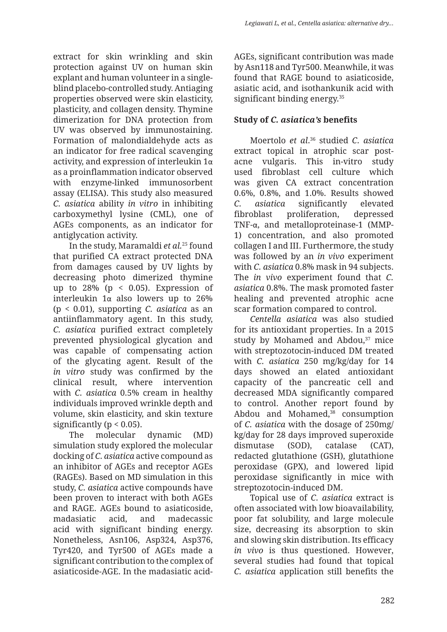extract for skin wrinkling and skin protection against UV on human skin explant and human volunteer in a singleblind placebo-controlled study. Antiaging properties observed were skin elasticity, plasticity, and collagen density. Thymine dimerization for DNA protection from UV was observed by immunostaining. Formation of malondialdehyde acts as an indicator for free radical scavenging activity, and expression of interleukin 1α as a proinflammation indicator observed with enzyme-linked immunosorbent assay (ELISA). This study also measured *C. asiatica* ability *in vitro* in inhibiting carboxymethyl lysine (CML), one of AGEs components, as an indicator for antiglycation activity.

In the study, Maramaldi *et al.*25 found that purified CA extract protected DNA from damages caused by UV lights by decreasing photo dimerized thymine up to  $28\%$  (p < 0.05). Expression of interleukin 1α also lowers up to 26% (p < 0.01), supporting *C. asiatica* as an antiinflammatory agent. In this study, *C. asiatica* purified extract completely prevented physiological glycation and was capable of compensating action of the glycating agent. Result of the *in vitro* study was confirmed by the clinical result, where intervention with *C. asiatica* 0.5% cream in healthy individuals improved wrinkle depth and volume, skin elasticity, and skin texture significantly ( $p < 0.05$ ).

The molecular dynamic (MD) simulation study explored the molecular docking of *C. asiatica* active compound as an inhibitor of AGEs and receptor AGEs (RAGEs). Based on MD simulation in this study, *C. asiatica* active compounds have been proven to interact with both AGEs and RAGE. AGEs bound to asiaticoside, madasiatic acid, and madecassic acid with significant binding energy. Nonetheless, Asn106, Asp324, Asp376, Tyr420, and Tyr500 of AGEs made a significant contribution to the complex of asiaticoside-AGE. In the madasiatic acidAGEs, significant contribution was made by Asn118 and Tyr500. Meanwhile, it was found that RAGE bound to asiaticoside, asiatic acid, and isothankunik acid with significant binding energy.<sup>35</sup>

# **Study of** *C. asiatica's* **benefits**

Moertolo *et al*. 36 studied *C. asiatica* extract topical in atrophic scar postacne vulgaris. This in-vitro study used fibroblast cell culture which was given CA extract concentration 0.6%, 0.8%, and 1.0%. Results showed *C. asiatica* significantly elevated fibroblast proliferation, depressed TNF-α, and metalloproteinase-1 (MMP-1) concentration, and also promoted collagen I and III. Furthermore, the study was followed by an *in vivo* experiment with *C. asiatica* 0.8% mask in 94 subjects. The *in vivo* experiment found that *C. asiatica* 0.8%. The mask promoted faster healing and prevented atrophic acne scar formation compared to control.

*Centella asiatica* was also studied for its antioxidant properties. In a 2015 study by Mohamed and Abdou, $37$  mice with streptozotocin-induced DM treated with *C. asiatica* 250 mg/kg/day for 14 days showed an elated antioxidant capacity of the pancreatic cell and decreased MDA significantly compared to control. Another report found by Abdou and Mohamed,<sup>38</sup> consumption of *C. asiatica* with the dosage of 250mg/ kg/day for 28 days improved superoxide dismutase (SOD), catalase (CAT), redacted glutathione (GSH), glutathione peroxidase (GPX), and lowered lipid peroxidase significantly in mice with streptozotocin-induced DM.

Topical use of *C. asiatica* extract is often associated with low bioavailability, poor fat solubility, and large molecule size, decreasing its absorption to skin and slowing skin distribution. Its efficacy *in vivo* is thus questioned. However, several studies had found that topical *C. asiatica* application still benefits the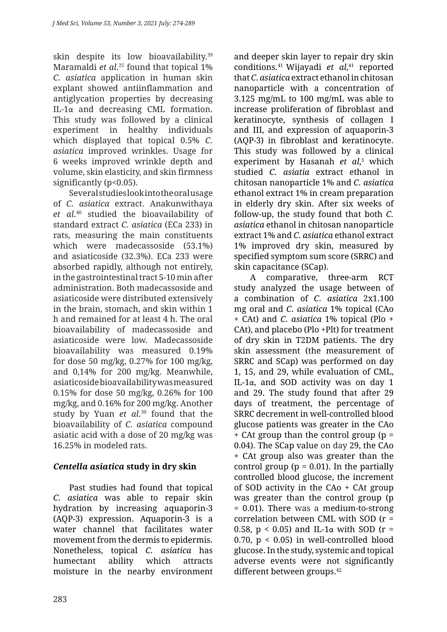skin despite its low bioavailability.<sup>39</sup> Maramaldi *et al*. 25 found that topical 1% *C. asiatica* application in human skin explant showed antiinflammation and antiglycation properties by decreasing IL-1α and decreasing CML formation. This study was followed by a clinical experiment in healthy individuals which displayed that topical 0.5% *C. asiatica* improved wrinkles. Usage for 6 weeks improved wrinkle depth and volume, skin elasticity, and skin firmness significantly (p<0.05).

Several studies look into the oral usage of *C. asiatica* extract. Anakunwithaya *et al*. 40 studied the bioavailability of standard extract *C. asiatica* (ECa 233) in rats, measuring the main constituents which were madecassoside (53.1%) and asiaticoside (32.3%). ECa 233 were absorbed rapidly, although not entirely, in the gastrointestinal tract 5-10 min after administration. Both madecassoside and asiaticoside were distributed extensively in the brain, stomach, and skin within 1 h and remained for at least 4 h. The oral bioavailability of madecassoside and asiaticoside were low. Madecassoside bioavailability was measured 0.19% for dose 50 mg/kg, 0.27% for 100 mg/kg, and 0,14% for 200 mg/kg. Meanwhile, asiaticoside bioavailability was measured 0.15% for dose 50 mg/kg, 0.26% for 100 mg/kg, and 0.16% for 200 mg/kg. Another study by Yuan *et al*. 39 found that the bioavailability of *C. asiatica* compound asiatic acid with a dose of 20 mg/kg was 16.25% in modeled rats.

# *Centella asiatica* **study in dry skin**

Past studies had found that topical *C. asiatica* was able to repair skin hydration by increasing aquaporin-3 (AQP-3) expression. Aquaporin-3 is a water channel that facilitates water movement from the dermis to epidermis. Nonetheless, topical *C. asiatica* has humectant ability which attracts moisture in the nearby environment and deeper skin layer to repair dry skin conditions.41 Wijayadi *et al*, 41 reported that *C. asiatica* extract ethanol in chitosan nanoparticle with a concentration of 3.125 mg/mL to 100 mg/mL was able to increase proliferation of fibroblast and keratinocyte, synthesis of collagen I and III, and expression of aquaporin-3 (AQP-3) in fibroblast and keratinocyte. This study was followed by a clinical experiment by Hasanah *et al*, 5 which studied *C. asiatia* extract ethanol in chitosan nanoparticle 1% and *C. asiatica* ethanol extract 1% in cream preparation in elderly dry skin. After six weeks of follow-up, the study found that both *C. asiatica* ethanol in chitosan nanoparticle extract 1% and *C. asiatica* ethanol extract 1% improved dry skin, measured by specified symptom sum score (SRRC) and skin capacitance (SCap).

A comparative, three-arm RCT study analyzed the usage between of a combination of *C. asiatica* 2x1.100 mg oral and *C. asiatica* 1% topical (CAo + CAt) and *C. asiatica* 1% topical (Plo + CAt), and placebo (Plo +Plt) for treatment of dry skin in T2DM patients. The dry skin assessment (the measurement of SRRC and SCap) was performed on day 1, 15, and 29, while evaluation of CML, IL-1α, and SOD activity was on day 1 and 29. The study found that after 29 days of treatment, the percentage of SRRC decrement in well-controlled blood glucose patients was greater in the CAo + CAt group than the control group (p = 0.04). The SCap value on day 29, the CAo + CAt group also was greater than the control group ( $p = 0.01$ ). In the partially controlled blood glucose, the increment of SOD activity in the CAo + CAt group was greater than the control group (p = 0.01). There was a medium-to-strong correlation between CML with SOD (r = 0.58,  $p < 0.05$ ) and IL-1 $\alpha$  with SOD (r = 0.70,  $p \le 0.05$ ) in well-controlled blood glucose. In the study, systemic and topical adverse events were not significantly different between groups.<sup>42</sup>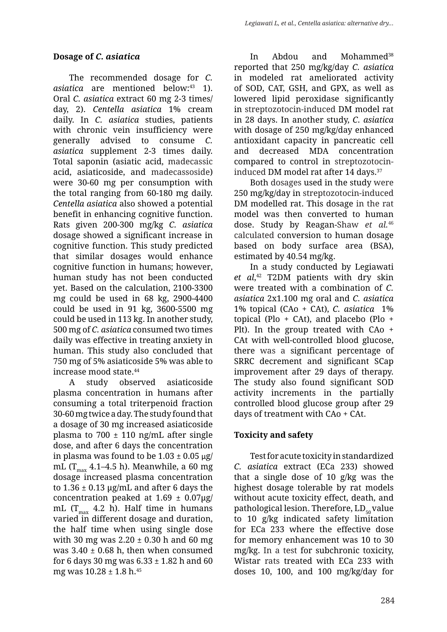## **Dosage of** *C. asiatica*

The recommended dosage for *C. asiatica* are mentioned below:<sup>43</sup> 1). Oral *C. asiatica* extract 60 mg 2-3 times/ day, 2). *Centella asiatica* 1% cream daily. In *C. asiatica* studies, patients with chronic vein insufficiency were generally advised to consume *C. asiatica* supplement 2-3 times daily. Total saponin (asiatic acid, madecassic acid, asiaticoside, and madecassoside) were 30-60 mg per consumption with the total ranging from 60-180 mg daily. *Centella asiatica* also showed a potential benefit in enhancing cognitive function. Rats given 200-300 mg/kg *C. asiatica* dosage showed a significant increase in cognitive function. This study predicted that similar dosages would enhance cognitive function in humans; however, human study has not been conducted yet. Based on the calculation, 2100-3300 mg could be used in 68 kg, 2900-4400 could be used in 91 kg, 3600-5500 mg could be used in 113 kg. In another study, 500 mg of *C. asiatica* consumed two times daily was effective in treating anxiety in human. This study also concluded that 750 mg of 5% asiaticoside 5% was able to increase mood state.44

A study observed asiaticoside plasma concentration in humans after consuming a total triterpenoid fraction 30-60 mg twice a day. The study found that a dosage of 30 mg increased asiaticoside plasma to 700  $\pm$  110 ng/mL after single dose, and after 6 days the concentration in plasma was found to be  $1.03 \pm 0.05$  μg/ mL ( $T_{max}$  4.1–4.5 h). Meanwhile, a 60 mg dosage increased plasma concentration to  $1.36 \pm 0.13$  µg/mL and after 6 days the concentration peaked at  $1.69 \pm 0.07 \mu$ g/ mL ( $T_{max}$  4.2 h). Half time in humans varied in different dosage and duration, the half time when using single dose with 30 mg was  $2.20 \pm 0.30$  h and 60 mg was  $3.40 \pm 0.68$  h, then when consumed for 6 days 30 mg was  $6.33 \pm 1.82$  h and 60 mg was  $10.28 \pm 1.8$  h.<sup>45</sup>

In Abdou and Mohammed<sup>38</sup> reported that 250 mg/kg/day *C. asiatica* in modeled rat ameliorated activity of SOD, CAT, GSH, and GPX, as well as lowered lipid peroxidase significantly in streptozotocin-induced DM model rat in 28 days. In another study, *C. asiatica* with dosage of 250 mg/kg/day enhanced antioxidant capacity in pancreatic cell and decreased MDA concentration compared to control in streptozotocininduced DM model rat after 14 days.<sup>37</sup>

Both dosages used in the study were 250 mg/kg/day in streptozotocin-induced DM modelled rat. This dosage in the rat model was then converted to human dose. Study by Reagan-Shaw *et al.*<sup>46</sup> calculated conversion to human dosage based on body surface area (BSA), estimated by 40.54 mg/kg.

In a study conducted by Legiawati *et al*, 42 T2DM patients with dry skin were treated with a combination of *C. asiatica* 2x1.100 mg oral and *C. asiatica* 1% topical (CAo + CAt), *C. asiatica* 1% topical (Plo  $+$  CAt), and placebo (Plo  $+$ Plt). In the group treated with CAo + CAt with well-controlled blood glucose, there was a significant percentage of SRRC decrement and significant SCap improvement after 29 days of therapy. The study also found significant SOD activity increments in the partially controlled blood glucose group after 29 days of treatment with CAo + CAt.

# **Toxicity and safety**

Test for acute toxicity in standardized *C. asiatica* extract (ECa 233) showed that a single dose of 10 g/kg was the highest dosage tolerable by rat models without acute toxicity effect, death, and pathological lesion. Therefore,  $LD_{50}$  value to 10 g/kg indicated safety limitation for ECa 233 where the effective dose for memory enhancement was 10 to 30 mg/kg. In a test for subchronic toxicity, Wistar rats treated with ECa 233 with doses 10, 100, and 100 mg/kg/day for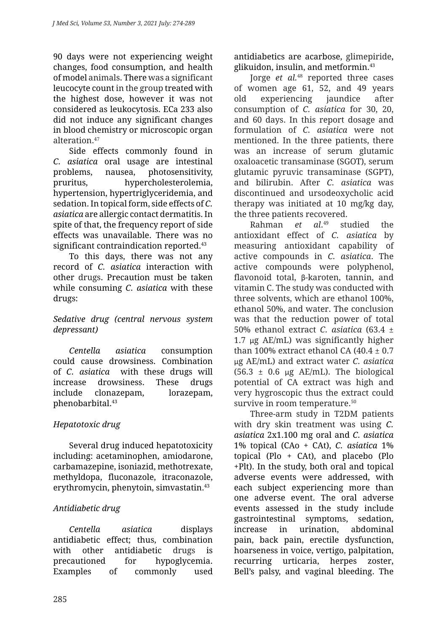90 days were not experiencing weight changes, food consumption, and health of model animals. There was a significant leucocyte count in the group treated with the highest dose, however it was not considered as leukocytosis. ECa 233 also did not induce any significant changes in blood chemistry or microscopic organ alteration.47

Side effects commonly found in *C. asiatica* oral usage are intestinal problems, nausea, photosensitivity, pruritus, hypercholesterolemia, hypertension, hypertriglyceridemia, and sedation. In topical form, side effects of *C. asiatica* are allergic contact dermatitis. In spite of that, the frequency report of side effects was unavailable. There was no significant contraindication reported.<sup>43</sup>

To this days, there was not any record of *C. asiatica* interaction with other drugs. Precaution must be taken while consuming *C. asiatica* with these drugs:

### *Sedative drug (central nervous system depressant)*

*Centella asiatica* consumption could cause drowsiness. Combination of *C. asiatica* with these drugs will increase drowsiness. These drugs include clonazepam, lorazepam, phenobarbital.43

# *Hepatotoxic drug*

Several drug induced hepatotoxicity including: acetaminophen, amiodarone, carbamazepine, isoniazid, methotrexate, methyldopa, fluconazole, itraconazole, erythromycin, phenytoin, simvastatin.43

# *Antidiabetic drug*

*Centella asiatica* displays antidiabetic effect; thus, combination with other antidiabetic drugs is precautioned for hypoglycemia. Examples of commonly used antidiabetics are acarbose, glimepiride, glikuidon, insulin, and metformin.43

Jorge *et al.*48 reported three cases of women age 61, 52, and 49 years old experiencing jaundice after consumption of *C. asiatica* for 30, 20, and 60 days. In this report dosage and formulation of *C. asiatica* were not mentioned. In the three patients, there was an increase of serum glutamic oxaloacetic transaminase (SGOT), serum glutamic pyruvic transaminase (SGPT), and bilirubin. After *C. asiatica* was discontinued and ursodeoxycholic acid therapy was initiated at 10 mg/kg day, the three patients recovered.

Rahman *et al*. studied the antioxidant effect of *C. asiatica* by measuring antioxidant capability of active compounds in *C. asiatica*. The active compounds were polyphenol, flavonoid total, β-karoten, tannin, and vitamin C. The study was conducted with three solvents, which are ethanol 100%, ethanol 50%, and water. The conclusion was that the reduction power of total 50% ethanol extract *C. asiatica* (63.4 ± 1.7 μg  $AE/mL$ ) was significantly higher than 100% extract ethanol CA  $(40.4 \pm 0.7)$ μg AE/mL) and extract water *C. asiatica* (56.3  $\pm$  0.6 μg AE/mL). The biological potential of CA extract was high and very hygroscopic thus the extract could survive in room temperature.<sup>50</sup>

Three-arm study in T2DM patients with dry skin treatment was using *C. asiatica* 2x1.100 mg oral and *C. asiatica* 1% topical (CAo + CAt), *C. asiatica* 1% topical (Plo + CAt), and placebo (Plo +Plt). In the study, both oral and topical adverse events were addressed, with each subject experiencing more than one adverse event. The oral adverse events assessed in the study include gastrointestinal symptoms, sedation, increase in urination, abdominal pain, back pain, erectile dysfunction, hoarseness in voice, vertigo, palpitation, recurring urticaria, herpes zoster, Bell's palsy, and vaginal bleeding. The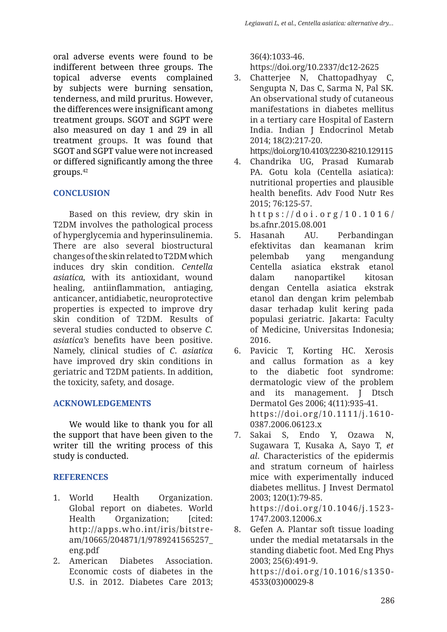oral adverse events were found to be indifferent between three groups. The topical adverse events complained by subjects were burning sensation, tenderness, and mild pruritus. However, the differences were insignificant among treatment groups. SGOT and SGPT were also measured on day 1 and 29 in all treatment groups. It was found that SGOT and SGPT value were not increased or differed significantly among the three groups.42

# **CONCLUSION**

Based on this review, dry skin in T2DM involves the pathological process of hyperglycemia and hyperinsulinemia. There are also several biostructural changes of the skin related to T2DM which induces dry skin condition. *Centella asiatica,* with its antioxidant, wound healing, antiinflammation, antiaging, anticancer, antidiabetic, neuroprotective properties is expected to improve dry skin condition of T2DM. Results of several studies conducted to observe *C. asiatica's* benefits have been positive. Namely, clinical studies of *C. asiatica*  have improved dry skin conditions in geriatric and T2DM patients. In addition, the toxicity, safety, and dosage.

# **ACKNOWLEDGEMENTS**

We would like to thank you for all the support that have been given to the writer till the writing process of this study is conducted.

# **REFERENCES**

- 1. World Health Organization. Global report on diabetes. World Health Organization; [cited: http://apps.who.int/iris/bitstream/10665/204871/1/9789241565257\_ eng.pdf
- 2. American Diabetes Association. Economic costs of diabetes in the U.S. in 2012. Diabetes Care 2013;

36(4):1033-46.

https://doi.org/10.2337/dc12-2625

- 3. Chatterjee N, Chattopadhyay C, Sengupta N, Das C, Sarma N, Pal SK. An observational study of cutaneous manifestations in diabetes mellitus in a tertiary care Hospital of Eastern India. Indian J Endocrinol Metab 2014; 18(2):217-20. https://doi.org/10.4103/2230-8210.129115
- 4. Chandrika UG, Prasad Kumarab PA. Gotu kola (Centella asiatica): nutritional properties and plausible health benefits. Adv Food Nutr Res 2015; 76:125-57. https://doi.org/10.1016/
	- bs.afnr.2015.08.001
- 5. Hasanah AU. Perbandingan efektivitas dan keamanan krim pelembab yang mengandung Centella asiatica ekstrak etanol dalam nanopartikel kitosan dengan Centella asiatica ekstrak etanol dan dengan krim pelembab dasar terhadap kulit kering pada populasi geriatric. Jakarta: Faculty of Medicine, Universitas Indonesia; 2016.
- 6. Pavicic T, Korting HC. Xerosis and callus formation as a key to the diabetic foot syndrome: dermatologic view of the problem and its management. J Dtsch Dermatol Ges 2006; 4(11):935-41. https://doi.org/10.1111/j.1610- 0387.2006.06123.x
- 7. Sakai S, Endo Y, Ozawa N, Sugawara T, Kusaka A, Sayo T, *et al*. Characteristics of the epidermis and stratum corneum of hairless mice with experimentally induced diabetes mellitus. J Invest Dermatol 2003; 120(1):79-85. https://doi.org/10.1046/j.1523- 1747.2003.12006.x
- 8. Gefen A. Plantar soft tissue loading under the medial metatarsals in the standing diabetic foot. Med Eng Phys 2003; 25(6):491-9. https://doi.org/10.1016/s1350- 4533(03)00029-8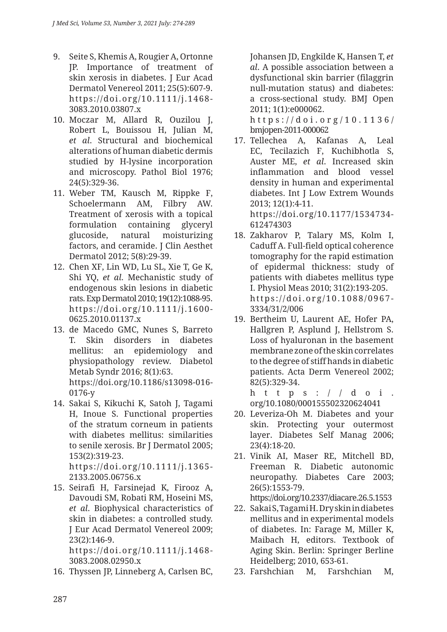- 9. Seite S, Khemis A, Rougier A, Ortonne JP. Importance of treatment of skin xerosis in diabetes. J Eur Acad Dermatol Venereol 2011; 25(5):607-9. https://doi.org/10.1111/j.1468- 3083.2010.03807.x
- 10. Moczar M, Allard R, Ouzilou J, Robert L, Bouissou H, Julian M, *et al*. Structural and biochemical alterations of human diabetic dermis studied by H-lysine incorporation and microscopy. Pathol Biol 1976; 24(5):329-36.
- 11. Weber TM, Kausch M, Rippke F, Schoelermann AM, Filbry AW. Treatment of xerosis with a topical formulation containing glyceryl glucoside, natural moisturizing factors, and ceramide. J Clin Aesthet Dermatol 2012; 5(8):29-39.
- 12. Chen XF, Lin WD, Lu SL, Xie T, Ge K, Shi YQ, *et al*. Mechanistic study of endogenous skin lesions in diabetic rats. Exp Dermatol 2010; 19(12):1088-95. https://doi.org/10.1111/j.1600- 0625.2010.01137.x
- 13. de Macedo GMC, Nunes S, Barreto T. Skin disorders in diabetes mellitus: an epidemiology and physiopathology review. Diabetol Metab Syndr 2016; 8(1):63. https://doi.org/10.1186/s13098-016- 0176-y
- 14. Sakai S, Kikuchi K, Satoh J, Tagami H, Inoue S. Functional properties of the stratum corneum in patients with diabetes mellitus: similarities to senile xerosis. Br J Dermatol 2005; 153(2):319-23.

https://doi.org/10.1111/j.1365- 2133.2005.06756.x

15. Seirafi H, Farsinejad K, Firooz A, Davoudi SM, Robati RM, Hoseini MS, *et al*. Biophysical characteristics of skin in diabetes: a controlled study. J Eur Acad Dermatol Venereol 2009; 23(2):146-9.

https://doi.org/10.1111/j.1468- 3083.2008.02950.x

16. Thyssen JP, Linneberg A, Carlsen BC,

Johansen JD, Engkilde K, Hansen T, *et al*. A possible association between a dysfunctional skin barrier (filaggrin null-mutation status) and diabetes: a cross-sectional study. BMJ Open 2011; 1(1):e000062.

https://doi.org/10.1136/ bmjopen-2011-000062

17. Tellechea A, Kafanas A, Leal EC, Tecilazich F, Kuchibhotla S, Auster ME, *et al*. Increased skin inflammation and blood vessel density in human and experimental diabetes. Int J Low Extrem Wounds 2013; 12(1):4-11. https://doi.org/10.1177/1534734-

612474303

- 18. Zakharov P, Talary MS, Kolm I, Caduff A. Full-field optical coherence tomography for the rapid estimation of epidermal thickness: study of patients with diabetes mellitus type I. Physiol Meas 2010; 31(2):193-205. https://doi.org/10.1088/0967- 3334/31/2/006
- 19. Bertheim U, Laurent AE, Hofer PA, Hallgren P, Asplund J, Hellstrom S. Loss of hyaluronan in the basement membrane zone of the skin correlates to the degree of stiff hands in diabetic patients. Acta Derm Venereol 2002; 82(5):329-34.

https:// $d$ oi. org/10.1080/000155502320624041

- 20. Leveriza-Oh M. Diabetes and your skin. Protecting your outermost layer. Diabetes Self Manag 2006; 23(4):18-20.
- 21. Vinik AI, Maser RE, Mitchell BD, Freeman R. Diabetic autonomic neuropathy. Diabetes Care 2003; 26(5):1553-79.

https://doi.org/10.2337/diacare.26.5.1553

- 22. Sakai S, Tagami H. Dry skin in diabetes mellitus and in experimental models of diabetes. In: Farage M, Miller K, Maibach H, editors. Textbook of Aging Skin. Berlin: Springer Berline Heidelberg; 2010, 653-61.
- 23. Farshchian M, Farshchian M,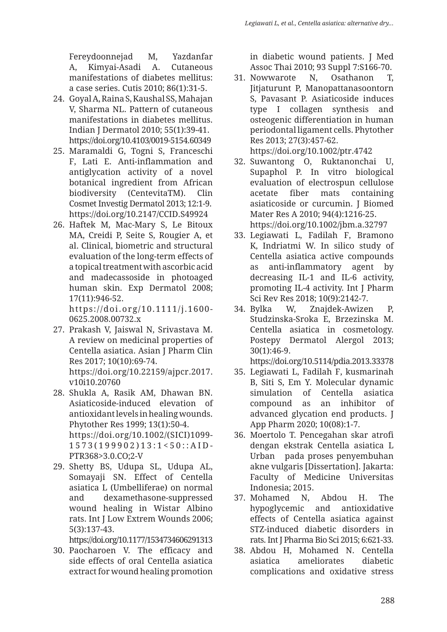Fereydoonnejad M, Yazdanfar A, Kimyai-Asadi A. Cutaneous manifestations of diabetes mellitus: a case series. Cutis 2010; 86(1):31-5.

- 24. Goyal A, Raina S, Kaushal SS, Mahajan V, Sharma NL. Pattern of cutaneous manifestations in diabetes mellitus. Indian J Dermatol 2010; 55(1):39-41. https://doi.org/10.4103/0019-5154.60349
- 25. Maramaldi G, Togni S, Franceschi F, Lati E. Anti-inflammation and antiglycation activity of a novel botanical ingredient from African biodiversity (CentevitaTM). Clin Cosmet Investig Dermatol 2013; 12:1-9. https://doi.org/10.2147/CCID.S49924
- 26. Haftek M, Mac-Mary S, Le Bitoux MA, Creidi P, Seite S, Rougier A, et al. Clinical, biometric and structural evaluation of the long-term effects of a topical treatment with ascorbic acid and madecassoside in photoaged human skin. Exp Dermatol 2008; 17(11):946-52. https://doi.org/10.1111/j.1600-

0625.2008.00732.x

- 27. Prakash V, Jaiswal N, Srivastava M. A review on medicinal properties of Centella asiatica. Asian J Pharm Clin Res 2017; 10(10):69-74. https://doi.org/10.22159/ajpcr.2017. v10i10.20760
- 28. Shukla A, Rasik AM, Dhawan BN. Asiaticoside-induced elevation of antioxidant levels in healing wounds. Phytother Res 1999; 13(1):50-4. https://doi.org/10.1002/(SICI)1099- 1573(199902)13:1<50::AID-PTR368>3.0.CO;2-V
- 29. Shetty BS, Udupa SL, Udupa AL, Somayaji SN. Effect of Centella asiatica L (Umbelliferae) on normal and dexamethasone-suppressed wound healing in Wistar Albino rats. Int J Low Extrem Wounds 2006; 5(3):137-43.

https://doi.org/10.1177/1534734606291313

30. Paocharoen V. The efficacy and side effects of oral Centella asiatica extract for wound healing promotion

in diabetic wound patients. J Med Assoc Thai 2010; 93 Suppl 7:S166-70.

- 31. Nowwarote N, Osathanon T, Jitjaturunt P, Manopattanasoontorn S, Pavasant P. Asiaticoside induces type I collagen synthesis and osteogenic differentiation in human periodontal ligament cells. Phytother Res 2013; 27(3):457-62. https://doi.org/10.1002/ptr.4742
- 32. Suwantong O, Ruktanonchai U, Supaphol P. In vitro biological evaluation of electrospun cellulose acetate fiber mats containing asiaticoside or curcumin. J Biomed Mater Res A 2010; 94(4):1216-25. https://doi.org/10.1002/jbm.a.32797
- 33. Legiawati L, Fadilah F, Bramono K, Indriatmi W. In silico study of Centella asiatica active compounds as anti-inflammatory agent by decreasing IL-1 and IL-6 activity, promoting IL-4 activity. Int J Pharm Sci Rev Res 2018; 10(9):2142-7.
- 34. Bylka W, Znajdek-Awizen P, Studzinska-Sroka E, Brzezinska M. Centella asiatica in cosmetology. Postepy Dermatol Alergol 2013; 30(1):46-9.

https://doi.org/10.5114/pdia.2013.33378

- 35. Legiawati L, Fadilah F, kusmarinah B, Siti S, Em Y. Molecular dynamic simulation of Centella asiatica compound as an inhibitor of advanced glycation end products. J App Pharm 2020; 10(08):1-7.
- 36. Moertolo T. Pencegahan skar atrofi dengan ekstrak Centella asiatica L Urban pada proses penyembuhan akne vulgaris [Dissertation]. Jakarta: Faculty of Medicine Universitas Indonesia; 2015.
- 37. Mohamed N, Abdou H. The hypoglycemic and antioxidative effects of Centella asiatica against STZ-induced diabetic disorders in rats. Int J Pharma Bio Sci 2015; 6:621-33.
- 38. Abdou H, Mohamed N. Centella asiatica ameliorates diabetic complications and oxidative stress